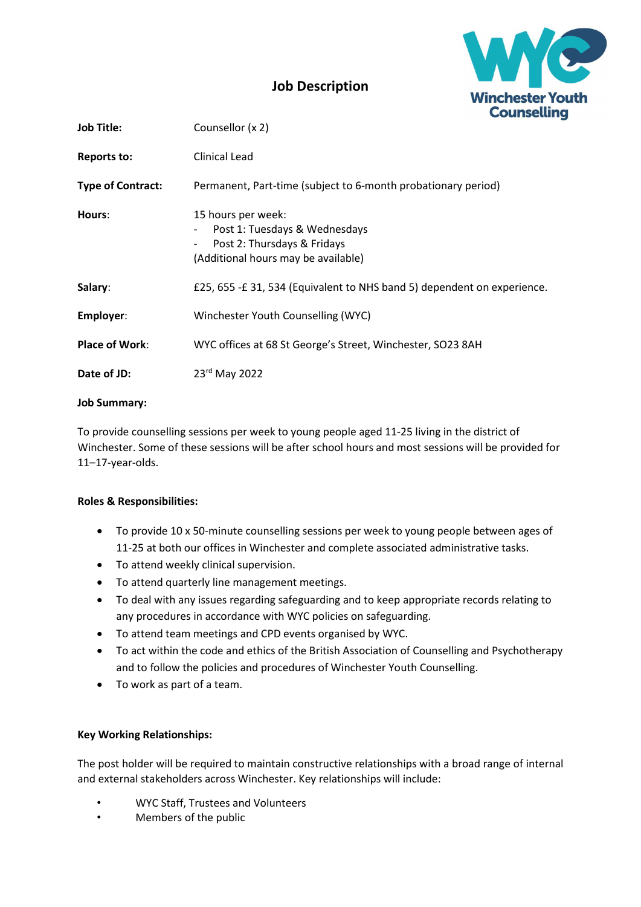

## Job Description

| <b>Job Title:</b>        | Counsellor (x 2)                                                                                                                                           |  |
|--------------------------|------------------------------------------------------------------------------------------------------------------------------------------------------------|--|
| Reports to:              | Clinical Lead                                                                                                                                              |  |
| <b>Type of Contract:</b> | Permanent, Part-time (subject to 6-month probationary period)                                                                                              |  |
| Hours:                   | 15 hours per week:<br>Post 1: Tuesdays & Wednesdays<br>$\overline{\phantom{a}}$<br>Post 2: Thursdays & Fridays<br>-<br>(Additional hours may be available) |  |
| Salary:                  | £25, 655 -£ 31, 534 (Equivalent to NHS band 5) dependent on experience.                                                                                    |  |
| Employer:                | Winchester Youth Counselling (WYC)                                                                                                                         |  |
| <b>Place of Work:</b>    | WYC offices at 68 St George's Street, Winchester, SO23 8AH                                                                                                 |  |
| Date of JD:              | 23rd May 2022                                                                                                                                              |  |

### Job Summary:

To provide counselling sessions per week to young people aged 11-25 living in the district of Winchester. Some of these sessions will be after school hours and most sessions will be provided for 11–17-year-olds.

### Roles & Responsibilities:

- To provide 10 x 50-minute counselling sessions per week to young people between ages of 11-25 at both our offices in Winchester and complete associated administrative tasks.
- To attend weekly clinical supervision.
- To attend quarterly line management meetings.
- To deal with any issues regarding safeguarding and to keep appropriate records relating to any procedures in accordance with WYC policies on safeguarding.
- To attend team meetings and CPD events organised by WYC.
- To act within the code and ethics of the British Association of Counselling and Psychotherapy and to follow the policies and procedures of Winchester Youth Counselling.
- To work as part of a team.

### Key Working Relationships:

The post holder will be required to maintain constructive relationships with a broad range of internal and external stakeholders across Winchester. Key relationships will include:

- WYC Staff, Trustees and Volunteers
- Members of the public